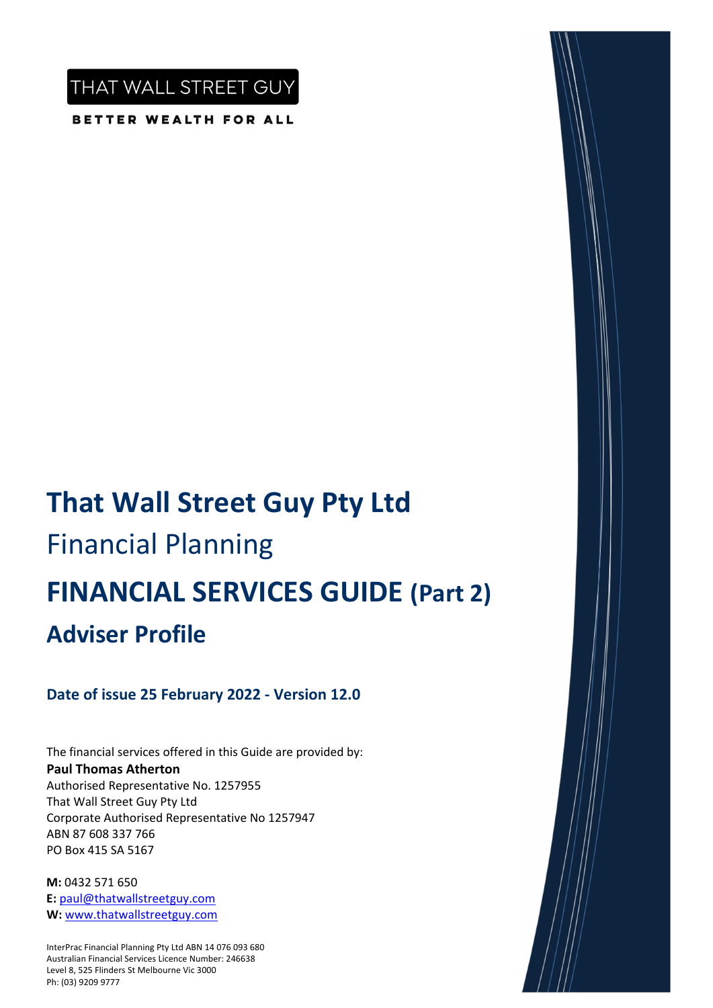THAT WALL STREET GUY

BETTER WEALTH FOR ALL

# **That Wall Street Guy Pty Ltd** Financial Planning **FINANCIAL SERVICES GUIDE (Part 2) Adviser Profile**

## **Date of issue 25 February 2022 ‐ Version 12.0**

The financial services offered in this Guide are provided by: **Paul Thomas Atherton** Authorised Representative No. 1257955 That Wall Street Guy Pty Ltd Corporate Authorised Representative No 1257947 ABN 87 608 337 766 PO Box 415 SA 5167

**M:** 0432 571 650 **E:** paul@thatwallstreetguy.com **W:** www.thatwallstreetguy.com

InterPrac Financial Planning Pty Ltd ABN 14 076 093 680 Australian Financial Services Licence Number: 246638 Level 8, 525 Flinders St Melbourne Vic 3000 Ph: (03) 9209 9777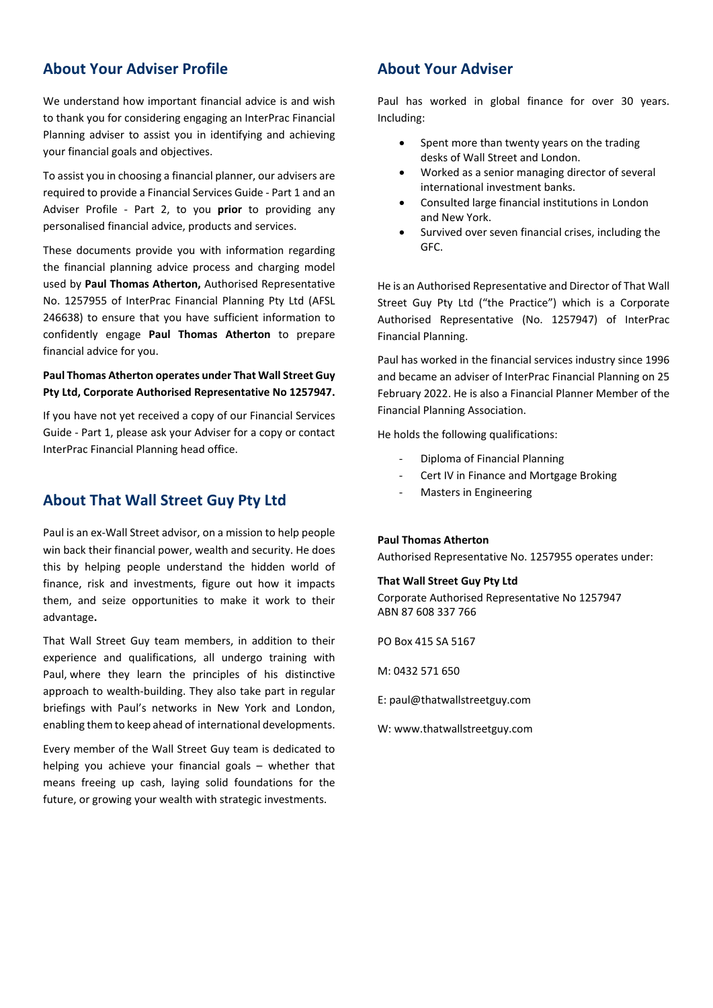### **About Your Adviser Profile**

We understand how important financial advice is and wish to thank you for considering engaging an InterPrac Financial Planning adviser to assist you in identifying and achieving your financial goals and objectives.

To assist you in choosing a financial planner, our advisers are required to provide a Financial Services Guide ‐ Part 1 and an Adviser Profile ‐ Part 2, to you **prior** to providing any personalised financial advice, products and services.

These documents provide you with information regarding the financial planning advice process and charging model used by **Paul Thomas Atherton,** Authorised Representative No. 1257955 of InterPrac Financial Planning Pty Ltd (AFSL 246638) to ensure that you have sufficient information to confidently engage **Paul Thomas Atherton** to prepare financial advice for you.

#### **Paul Thomas Atherton operates under That Wall Street Guy Pty Ltd, Corporate Authorised Representative No 1257947.**

If you have not yet received a copy of our Financial Services Guide ‐ Part 1, please ask your Adviser for a copy or contact InterPrac Financial Planning head office.

#### **About That Wall Street Guy Pty Ltd**

Paul is an ex‐Wall Street advisor, on a mission to help people win back their financial power, wealth and security. He does this by helping people understand the hidden world of finance, risk and investments, figure out how it impacts them, and seize opportunities to make it work to their advantage**.**

That Wall Street Guy team members, in addition to their experience and qualifications, all undergo training with Paul, where they learn the principles of his distinctive approach to wealth‐building. They also take part in regular briefings with Paul's networks in New York and London, enabling them to keep ahead of international developments.

Every member of the Wall Street Guy team is dedicated to helping you achieve your financial goals – whether that means freeing up cash, laying solid foundations for the future, or growing your wealth with strategic investments.

### **About Your Adviser**

Paul has worked in global finance for over 30 years. Including:

- Spent more than twenty years on the trading desks of Wall Street and London.
- Worked as a senior managing director of several international investment banks.
- Consulted large financial institutions in London and New York.
- Survived over seven financial crises, including the GFC.

He is an Authorised Representative and Director of That Wall Street Guy Pty Ltd ("the Practice") which is a Corporate Authorised Representative (No. 1257947) of InterPrac Financial Planning.

Paul has worked in the financial services industry since 1996 and became an adviser of InterPrac Financial Planning on 25 February 2022. He is also a Financial Planner Member of the Financial Planning Association.

He holds the following qualifications:

- ‐ Diploma of Financial Planning
- ‐ Cert IV in Finance and Mortgage Broking
- ‐ Masters in Engineering

#### **Paul Thomas Atherton**

Authorised Representative No. 1257955 operates under:

#### **That Wall Street Guy Pty Ltd**

Corporate Authorised Representative No 1257947 ABN 87 608 337 766

PO Box 415 SA 5167

M: 0432 571 650

E: paul@thatwallstreetguy.com

W: www.thatwallstreetguy.com